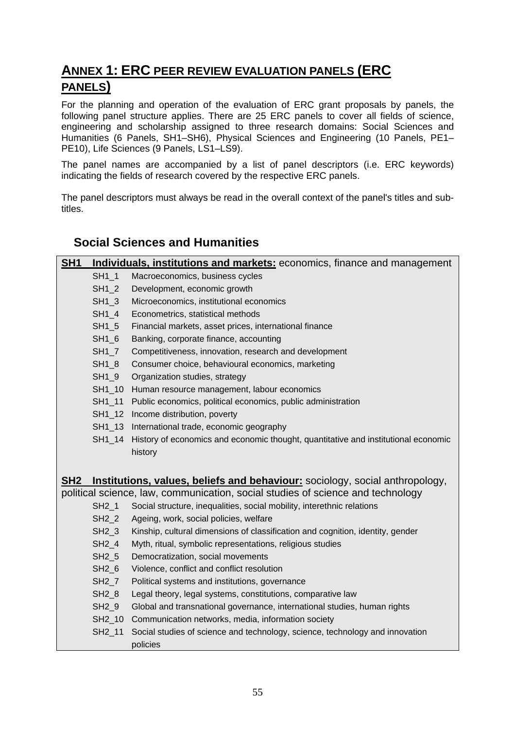# **ANNEX 1: ERC PEER REVIEW EVALUATION PANELS (ERC PANELS)**

For the planning and operation of the evaluation of ERC grant proposals by panels, the following panel structure applies. There are 25 ERC panels to cover all fields of science, engineering and scholarship assigned to three research domains: Social Sciences and Humanities (6 Panels, SH1–SH6), Physical Sciences and Engineering (10 Panels, PE1– PE10), Life Sciences (9 Panels, LS1–LS9).

The panel names are accompanied by a list of panel descriptors (i.e. ERC keywords) indicating the fields of research covered by the respective ERC panels.

The panel descriptors must always be read in the overall context of the panel's titles and subtitles.

### **Social Sciences and Humanities**

| SH <sub>1</sub> |                   | Individuals, institutions and markets: economics, finance and management           |
|-----------------|-------------------|------------------------------------------------------------------------------------|
|                 | SH1 1             | Macroeconomics, business cycles                                                    |
|                 | $SH1_2$           | Development, economic growth                                                       |
|                 | $SH1_3$           | Microeconomics, institutional economics                                            |
|                 | $SH1_4$           | Econometrics, statistical methods                                                  |
|                 | $SH1_5$           | Financial markets, asset prices, international finance                             |
|                 | SH1_6             | Banking, corporate finance, accounting                                             |
|                 | $SH1_7$           | Competitiveness, innovation, research and development                              |
|                 | $SH1_8$           | Consumer choice, behavioural economics, marketing                                  |
|                 | SH1_9             | Organization studies, strategy                                                     |
|                 |                   | SH1_10 Human resource management, labour economics                                 |
|                 |                   | SH1_11 Public economics, political economics, public administration                |
|                 |                   | SH1_12 Income distribution, poverty                                                |
|                 |                   | SH1_13 International trade, economic geography                                     |
|                 | SH1_14            | History of economics and economic thought, quantitative and institutional economic |
|                 |                   | history                                                                            |
|                 |                   |                                                                                    |
| SH <sub>2</sub> |                   | Institutions, values, beliefs and behaviour: sociology, social anthropology,       |
|                 |                   | political science, law, communication, social studies of science and technology    |
|                 | SH2_1             | Social structure, inequalities, social mobility, interethnic relations             |
|                 | SH <sub>2</sub> 2 | Ageing, work, social policies, welfare                                             |
|                 | $SH2_3$           | Kinship, cultural dimensions of classification and cognition, identity, gender     |
|                 | $SH2_4$           | Myth, ritual, symbolic representations, religious studies                          |
|                 | SH <sub>2_5</sub> | Democratization, social movements                                                  |
|                 | $SH2_6$           | Violence, conflict and conflict resolution                                         |
|                 | $SH2_7$           | Political systems and institutions, governance                                     |
|                 | $SH2_8$           | Legal theory, legal systems, constitutions, comparative law                        |
|                 | $SH2_9$           | Global and transnational governance, international studies, human rights           |
|                 |                   | SH2_10 Communication networks, media, information society                          |
|                 | SH2_11            | Social studies of science and technology, science, technology and innovation       |
|                 |                   | policies                                                                           |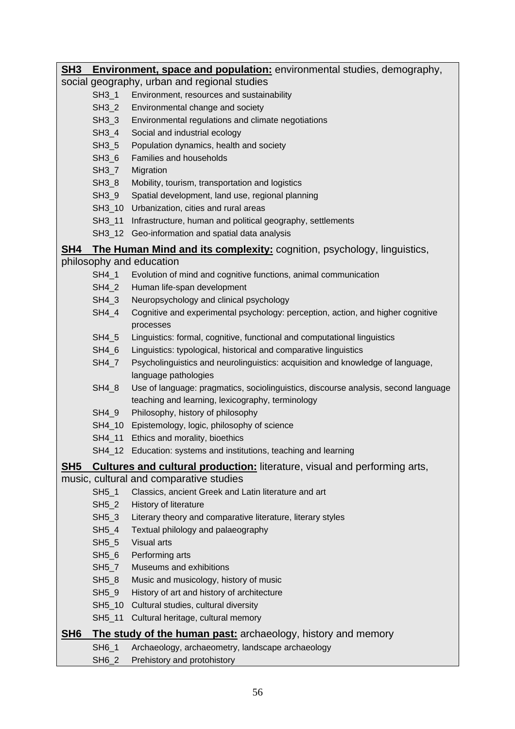**SH3 Environment, space and population:** environmental studies, demography, social geography, urban and regional studies SH3\_1 Environment, resources and sustainability SH3\_2 Environmental change and society SH3\_3 Environmental regulations and climate negotiations SH3\_4 Social and industrial ecology SH3\_5 Population dynamics, health and society SH3<sub>6</sub> Families and households SH3\_7 Migration SH3\_8 Mobility, tourism, transportation and logistics SH3 9 Spatial development, land use, regional planning SH3 10 Urbanization, cities and rural areas SH3\_11 Infrastructure, human and political geography, settlements SH3 12 Geo-information and spatial data analysis **SH4 The Human Mind and its complexity:** cognition, psychology, linguistics, philosophy and education SH4\_1 Evolution of mind and cognitive functions, animal communication SH4\_2 Human life-span development SH4 3 Neuropsychology and clinical psychology SH4\_4 Cognitive and experimental psychology: perception, action, and higher cognitive processes SH4\_5 Linguistics: formal, cognitive, functional and computational linguistics SH4 6 Linguistics: typological, historical and comparative linguistics SH4\_7 Psycholinguistics and neurolinguistics: acquisition and knowledge of language, language pathologies SH4\_8 Use of language: pragmatics, sociolinguistics, discourse analysis, second language teaching and learning, lexicography, terminology SH4 9 Philosophy, history of philosophy SH4 10 Epistemology, logic, philosophy of science SH4\_11 Ethics and morality, bioethics SH4\_12 Education: systems and institutions, teaching and learning **SH5 Cultures and cultural production:** literature, visual and performing arts, music, cultural and comparative studies SH5\_1 Classics, ancient Greek and Latin literature and art SH5\_2 History of literature SH5\_3 Literary theory and comparative literature, literary styles SH5\_4 Textual philology and palaeography SH5\_5 Visual arts SH5 6 Performing arts SH5\_7 Museums and exhibitions SH5 8 Music and musicology, history of music SH5 9 History of art and history of architecture SH5\_10 Cultural studies, cultural diversity SH5\_11 Cultural heritage, cultural memory **SH6 The study of the human past:** archaeology, history and memory SH6\_1 Archaeology, archaeometry, landscape archaeology

SH6\_2 Prehistory and protohistory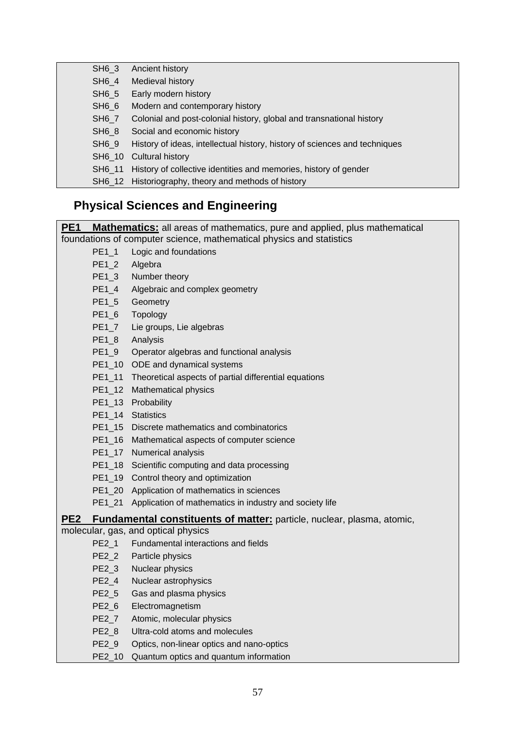| SH6 3             | Ancient history                                                            |
|-------------------|----------------------------------------------------------------------------|
| SH6 4             | Medieval history                                                           |
| SH6 5             | Early modern history                                                       |
| SH <sub>6</sub> 6 | Modern and contemporary history                                            |
| SH <sub>6</sub> 7 | Colonial and post-colonial history, global and transnational history       |
| SH <sub>6</sub> 8 | Social and economic history                                                |
| SH69              | History of ideas, intellectual history, history of sciences and techniques |
|                   | SH6 10 Cultural history                                                    |
|                   | SH6_11 History of collective identities and memories, history of gender    |
|                   | SH6_12 Historiography, theory and methods of history                       |

# **Physical Sciences and Engineering**

| PE <sub>1</sub><br><b>Mathematics:</b> all areas of mathematics, pure and applied, plus mathematical |                                                                               |  |
|------------------------------------------------------------------------------------------------------|-------------------------------------------------------------------------------|--|
| foundations of computer science, mathematical physics and statistics                                 |                                                                               |  |
| $PE1_1$                                                                                              | Logic and foundations                                                         |  |
| $PE1_2$                                                                                              | Algebra                                                                       |  |
| $PE1_3$                                                                                              | Number theory                                                                 |  |
| $PE1_4$                                                                                              | Algebraic and complex geometry                                                |  |
| PE1_5                                                                                                | Geometry                                                                      |  |
| $PE1_6$                                                                                              | Topology                                                                      |  |
| $PE1_7$                                                                                              | Lie groups, Lie algebras                                                      |  |
| $PE1_8$                                                                                              | Analysis                                                                      |  |
| $PE1_9$                                                                                              | Operator algebras and functional analysis                                     |  |
|                                                                                                      | PE1_10 ODE and dynamical systems                                              |  |
|                                                                                                      | PE1_11 Theoretical aspects of partial differential equations                  |  |
|                                                                                                      | PE1_12 Mathematical physics                                                   |  |
|                                                                                                      | PE1_13 Probability                                                            |  |
|                                                                                                      | PE1_14 Statistics                                                             |  |
|                                                                                                      | PE1_15 Discrete mathematics and combinatorics                                 |  |
|                                                                                                      | PE1_16 Mathematical aspects of computer science                               |  |
|                                                                                                      | PE1_17 Numerical analysis                                                     |  |
|                                                                                                      | PE1_18 Scientific computing and data processing                               |  |
|                                                                                                      | PE1_19 Control theory and optimization                                        |  |
|                                                                                                      | PE1_20 Application of mathematics in sciences                                 |  |
| PE1 21                                                                                               | Application of mathematics in industry and society life                       |  |
| PE <sub>2</sub>                                                                                      | <b>Fundamental constituents of matter:</b> particle, nuclear, plasma, atomic, |  |
|                                                                                                      | molecular, gas, and optical physics                                           |  |
| $PE2_1$                                                                                              | Fundamental interactions and fields                                           |  |
| $PE2_2$                                                                                              | Particle physics                                                              |  |
| PE2_3                                                                                                | Nuclear physics                                                               |  |
| PE2_4                                                                                                | Nuclear astrophysics                                                          |  |
| PE2_5                                                                                                | Gas and plasma physics                                                        |  |
| $PE2_6$                                                                                              | Electromagnetism                                                              |  |
| PE2 7                                                                                                | Atomic, molecular physics                                                     |  |
| PE2_8                                                                                                | Ultra-cold atoms and molecules                                                |  |
| PE2_9                                                                                                | Optics, non-linear optics and nano-optics                                     |  |
| PE2_10                                                                                               | Quantum optics and quantum information                                        |  |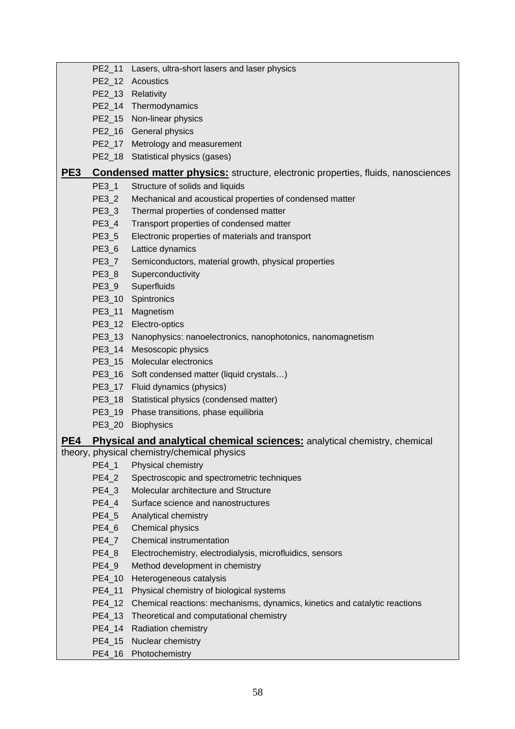|     |         | PE2_11 Lasers, ultra-short lasers and laser physics                                     |
|-----|---------|-----------------------------------------------------------------------------------------|
|     |         | PE2_12 Acoustics                                                                        |
|     |         | PE2_13 Relativity                                                                       |
|     |         | PE2_14 Thermodynamics                                                                   |
|     |         | PE2_15 Non-linear physics                                                               |
|     |         | PE2_16 General physics                                                                  |
|     |         | PE2_17 Metrology and measurement                                                        |
|     |         | PE2_18 Statistical physics (gases)                                                      |
| PE3 |         | <b>Condensed matter physics:</b> structure, electronic properties, fluids, nanosciences |
|     | PE3_1   | Structure of solids and liquids                                                         |
|     | PE3_2   | Mechanical and acoustical properties of condensed matter                                |
|     | $PE3_3$ | Thermal properties of condensed matter                                                  |
|     | PE3_4   | Transport properties of condensed matter                                                |
|     | PE3_5   | Electronic properties of materials and transport                                        |
|     | PE3_6   | Lattice dynamics                                                                        |
|     | PE3_7   | Semiconductors, material growth, physical properties                                    |
|     | PE3_8   | Superconductivity                                                                       |
|     | PE3_9   | Superfluids                                                                             |
|     |         | PE3_10 Spintronics                                                                      |
|     | PE3_11  | Magnetism                                                                               |
|     |         | PE3_12 Electro-optics                                                                   |
|     |         | PE3_13 Nanophysics: nanoelectronics, nanophotonics, nanomagnetism                       |
|     |         | PE3_14 Mesoscopic physics                                                               |
|     |         | PE3_15 Molecular electronics                                                            |
|     |         | PE3_16 Soft condensed matter (liquid crystals)                                          |
|     |         | PE3_17 Fluid dynamics (physics)                                                         |
|     |         | PE3_18 Statistical physics (condensed matter)                                           |
|     |         | PE3_19 Phase transitions, phase equilibria                                              |
|     |         | PE3 20 Biophysics                                                                       |
| PE4 |         | <b>Physical and analytical chemical sciences:</b> analytical chemistry, chemical        |
|     | $PE4_1$ | theory, physical chemistry/chemical physics<br>Physical chemistry                       |
|     | PE4_2   | Spectroscopic and spectrometric techniques                                              |
|     | PE4_3   | Molecular architecture and Structure                                                    |
|     | PE4_4   | Surface science and nanostructures                                                      |
|     | PE4_5   | Analytical chemistry                                                                    |
|     | PE4_6   | Chemical physics                                                                        |
|     | PE4_7   | Chemical instrumentation                                                                |
|     | PE4_8   | Electrochemistry, electrodialysis, microfluidics, sensors                               |
|     | PE4_9   | Method development in chemistry                                                         |
|     | PE4_10  | Heterogeneous catalysis                                                                 |
|     | PE4_11  | Physical chemistry of biological systems                                                |
|     |         | PE4_12 Chemical reactions: mechanisms, dynamics, kinetics and catalytic reactions       |
|     |         | PE4_13 Theoretical and computational chemistry                                          |
|     |         | PE4_14 Radiation chemistry                                                              |
|     | PE4_15  | Nuclear chemistry                                                                       |
|     |         | PE4_16 Photochemistry                                                                   |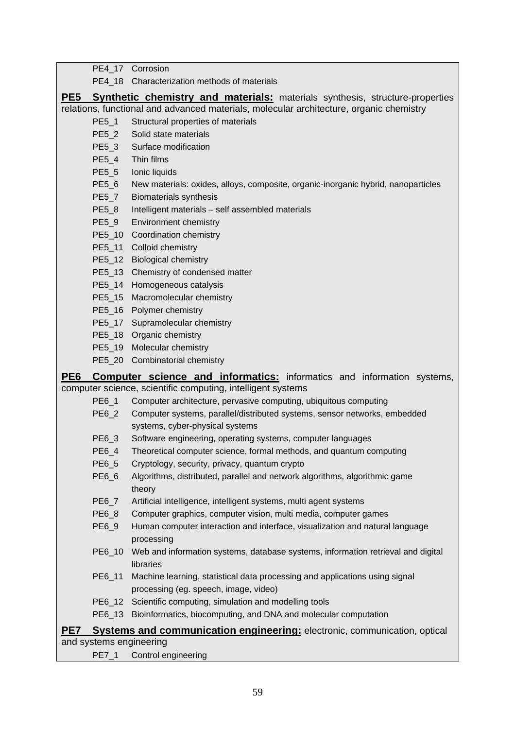PE4\_17 Corrosion

PE4\_18 Characterization methods of materials

**PE5** Synthetic chemistry and materials: materials synthesis, structure-properties relations, functional and advanced materials, molecular architecture, organic chemistry

- PE5\_1 Structural properties of materials
- PE5\_2 Solid state materials
- PE5\_3 Surface modification
- PE5\_4 Thin films
- PE5\_5 Ionic liquids
- PE5\_6 New materials: oxides, alloys, composite, organic-inorganic hybrid, nanoparticles

PE5\_7 Biomaterials synthesis

- PE5\_8 Intelligent materials self assembled materials
- PE5\_9 Environment chemistry
- PE5\_10 Coordination chemistry
- PE5\_11 Colloid chemistry
- PE5\_12 Biological chemistry
- PE5\_13 Chemistry of condensed matter
- PE5\_14 Homogeneous catalysis
- PE5\_15 Macromolecular chemistry
- PE5\_16 Polymer chemistry
- PE5\_17 Supramolecular chemistry
- PE5\_18 Organic chemistry
- PE5\_19 Molecular chemistry
- PE5\_20 Combinatorial chemistry

**PE6 Computer science and informatics:** informatics and information systems, computer science, scientific computing, intelligent systems

- PE6\_1 Computer architecture, pervasive computing, ubiquitous computing
- PE6\_2 Computer systems, parallel/distributed systems, sensor networks, embedded systems, cyber-physical systems
- PE6\_3 Software engineering, operating systems, computer languages
- PE6\_4 Theoretical computer science, formal methods, and quantum computing
- PE6\_5 Cryptology, security, privacy, quantum crypto
- PE6\_6 Algorithms, distributed, parallel and network algorithms, algorithmic game theory
- PE6\_7 Artificial intelligence, intelligent systems, multi agent systems
- PE6\_8 Computer graphics, computer vision, multi media, computer games
- PE6\_9 Human computer interaction and interface, visualization and natural language processing
- PE6\_10 Web and information systems, database systems, information retrieval and digital libraries
- PE6\_11 Machine learning, statistical data processing and applications using signal processing (eg. speech, image, video)
- PE6\_12 Scientific computing, simulation and modelling tools
- PE6\_13 Bioinformatics, biocomputing, and DNA and molecular computation

#### **PE7 Systems and communication engineering:** electronic, communication, optical and systems engineering

PE7\_1 Control engineering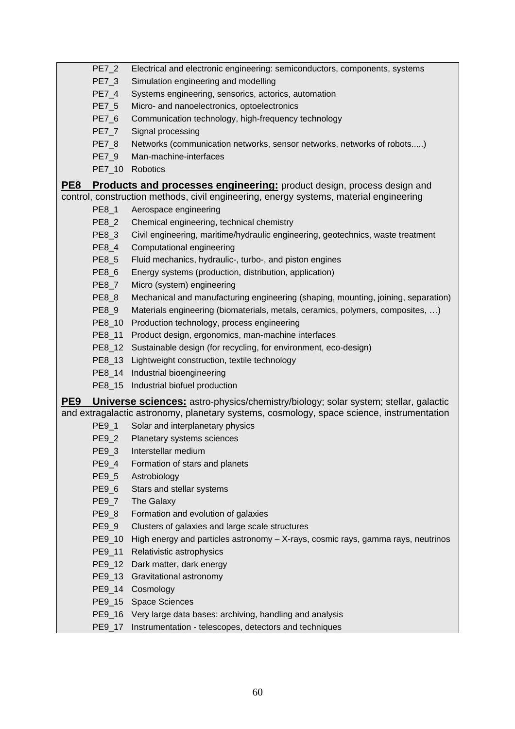PE7\_2 Electrical and electronic engineering: semiconductors, components, systems

- PE7\_3 Simulation engineering and modelling
- PE7\_4 Systems engineering, sensorics, actorics, automation
- PE7\_5 Micro- and nanoelectronics, optoelectronics
- PE7\_6 Communication technology, high-frequency technology
- PE7 7 Signal processing
- PE7\_8 Networks (communication networks, sensor networks, networks of robots.....)
- PE7\_9 Man-machine-interfaces
- PE7\_10 Robotics

**PE8 Products and processes engineering:** product design, process design and control, construction methods, civil engineering, energy systems, material engineering

- PE8\_1 Aerospace engineering
- PE8\_2 Chemical engineering, technical chemistry
- PE8\_3 Civil engineering, maritime/hydraulic engineering, geotechnics, waste treatment
- PE8\_4 Computational engineering
- PE8 5 Fluid mechanics, hydraulic-, turbo-, and piston engines
- PE8\_6 Energy systems (production, distribution, application)
- PE8\_7 Micro (system) engineering
- PE8\_8 Mechanical and manufacturing engineering (shaping, mounting, joining, separation)
- PE8\_9 Materials engineering (biomaterials, metals, ceramics, polymers, composites, …)
- PE8 10 Production technology, process engineering
- PE8\_11 Product design, ergonomics, man-machine interfaces
- PE8\_12 Sustainable design (for recycling, for environment, eco-design)
- PE8\_13 Lightweight construction, textile technology
- PE8\_14 Industrial bioengineering
- PE8\_15 Industrial biofuel production

**PE9 Universe sciences:** astro-physics/chemistry/biology; solar system; stellar, galactic and extragalactic astronomy, planetary systems, cosmology, space science, instrumentation

- PE9\_1 Solar and interplanetary physics
- PE9\_2 Planetary systems sciences
- PE9\_3 Interstellar medium
- PE9 4 Formation of stars and planets
- PE9\_5 Astrobiology
- PE9\_6 Stars and stellar systems
- PE9 7 The Galaxy
- PE9\_8 Formation and evolution of galaxies
- PE9\_9 Clusters of galaxies and large scale structures
- PE9 10 High energy and particles astronomy X-rays, cosmic rays, gamma rays, neutrinos
- PE9\_11 Relativistic astrophysics
- PE9\_12 Dark matter, dark energy
- PE9\_13 Gravitational astronomy
- PE9\_14 Cosmology
- PE9\_15 Space Sciences
- PE9 16 Very large data bases: archiving, handling and analysis
- PE9\_17 Instrumentation telescopes, detectors and techniques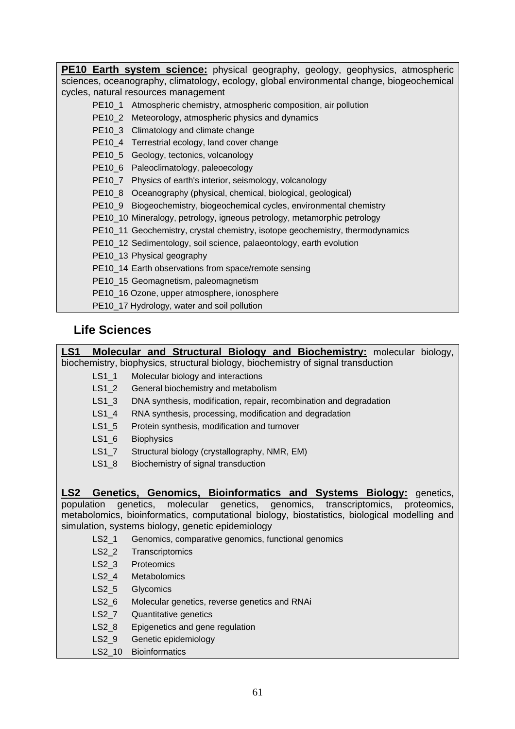**PE10 Earth system science:** physical geography, geology, geophysics, atmospheric sciences, oceanography, climatology, ecology, global environmental change, biogeochemical cycles, natural resources management

- PE10\_1 Atmospheric chemistry, atmospheric composition, air pollution
- PE10\_2 Meteorology, atmospheric physics and dynamics
- PE10\_3 Climatology and climate change
- PE10\_4 Terrestrial ecology, land cover change
- PE10\_5 Geology, tectonics, volcanology
- PE10\_6 Paleoclimatology, paleoecology
- PE10\_7 Physics of earth's interior, seismology, volcanology
- PE10\_8 Oceanography (physical, chemical, biological, geological)
- PE10\_9 Biogeochemistry, biogeochemical cycles, environmental chemistry
- PE10\_10 Mineralogy, petrology, igneous petrology, metamorphic petrology
- PE10\_11 Geochemistry, crystal chemistry, isotope geochemistry, thermodynamics
- PE10\_12 Sedimentology, soil science, palaeontology, earth evolution
- PE10\_13 Physical geography
- PE10\_14 Earth observations from space/remote sensing
- PE10\_15 Geomagnetism, paleomagnetism
- PE10\_16 Ozone, upper atmosphere, ionosphere
- PE10\_17 Hydrology, water and soil pollution

## **Life Sciences**

**LS1 Molecular and Structural Biology and Biochemistry:** molecular biology, biochemistry, biophysics, structural biology, biochemistry of signal transduction

- LS1\_1 Molecular biology and interactions
- LS1<sub>2</sub> General biochemistry and metabolism
- LS1\_3 DNA synthesis, modification, repair, recombination and degradation
- LS1 4 RNA synthesis, processing, modification and degradation
- LS1 5 Protein synthesis, modification and turnover
- LS1 6 Biophysics
- LS1\_7 Structural biology (crystallography, NMR, EM)
- LS1 8 Biochemistry of signal transduction

**LS2 Genetics, Genomics, Bioinformatics and Systems Biology:** genetics, population genetics, molecular genetics, genomics, transcriptomics, proteomics, metabolomics, bioinformatics, computational biology, biostatistics, biological modelling and simulation, systems biology, genetic epidemiology

- LS2 1 Genomics, comparative genomics, functional genomics
- LS2\_2 Transcriptomics
- LS2 3 Proteomics
- LS2 4 Metabolomics
- LS2 5 Glycomics
- LS2 6 Molecular genetics, reverse genetics and RNAi
- LS2\_7 Quantitative genetics
- LS2\_8 Epigenetics and gene regulation
- LS2 9 Genetic epidemiology
- LS2\_10 Bioinformatics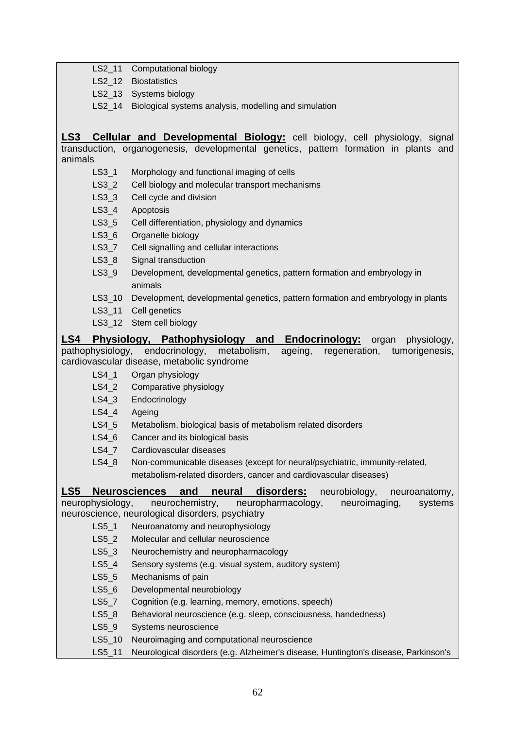|                 |                  | LS2_11 Computational biology                                                          |
|-----------------|------------------|---------------------------------------------------------------------------------------|
|                 | $LS2_12$         | <b>Biostatistics</b>                                                                  |
|                 |                  | LS2_13 Systems biology                                                                |
|                 |                  | LS2_14 Biological systems analysis, modelling and simulation                          |
|                 |                  |                                                                                       |
| LS <sub>3</sub> |                  | <b>Cellular and Developmental Biology:</b> cell biology, cell physiology, signal      |
|                 |                  | transduction, organogenesis, developmental genetics, pattern formation in plants and  |
| animals         |                  |                                                                                       |
|                 | $LS3-1$          | Morphology and functional imaging of cells                                            |
|                 | $LS3_2$          | Cell biology and molecular transport mechanisms                                       |
|                 | $LS3_3$          | Cell cycle and division                                                               |
|                 | $LS3_4$          | Apoptosis                                                                             |
|                 | $LS3-5$          | Cell differentiation, physiology and dynamics                                         |
|                 | $LS3_6$          | Organelle biology                                                                     |
|                 | $LS3-7$          | Cell signalling and cellular interactions                                             |
|                 | $LS3_8$          | Signal transduction                                                                   |
|                 | $LS3_9$          | Development, developmental genetics, pattern formation and embryology in              |
|                 |                  | animals                                                                               |
|                 | $LS3_10$         | Development, developmental genetics, pattern formation and embryology in plants       |
|                 | LS3 11           | Cell genetics                                                                         |
|                 |                  | LS3_12 Stem cell biology                                                              |
| LS4             |                  | Physiology, Pathophysiology and<br><b>Endocrinology:</b> organ<br>physiology,         |
|                 | pathophysiology, | endocrinology,<br>metabolism,<br>regeneration,<br>ageing,<br>tumorigenesis,           |
|                 |                  | cardiovascular disease, metabolic syndrome                                            |
|                 | $LS4_1$          | Organ physiology                                                                      |
|                 | $LS4_2$          | Comparative physiology                                                                |
|                 | $LS4_3$          | Endocrinology                                                                         |
|                 | $LS4_4$          | Ageing                                                                                |
|                 | $LS4_5$          | Metabolism, biological basis of metabolism related disorders                          |
|                 | $LS4_6$          | Cancer and its biological basis                                                       |
|                 | LS4_7            | Cardiovascular diseases                                                               |
|                 | $LS4_8$          | Non-communicable diseases (except for neural/psychiatric, immunity-related,           |
|                 |                  | metabolism-related disorders, cancer and cardiovascular diseases)                     |
| LS5             |                  | <b>Neurosciences</b><br>disorders:<br>and<br>neural<br>neurobiology,<br>neuroanatomy, |
|                 | neurophysiology, | neurochemistry,<br>neuropharmacology,<br>neuroimaging,<br>systems                     |
|                 |                  | neuroscience, neurological disorders, psychiatry                                      |
|                 | LS5 1            | Neuroanatomy and neurophysiology                                                      |
|                 | $LS5_2$          | Molecular and cellular neuroscience                                                   |
|                 | $LS5_3$          | Neurochemistry and neuropharmacology                                                  |
|                 | $LS5_4$          | Sensory systems (e.g. visual system, auditory system)                                 |
|                 | $LS5-5$          | Mechanisms of pain                                                                    |
|                 | $LS5_6$          | Developmental neurobiology                                                            |
|                 | $LS5-7$          | Cognition (e.g. learning, memory, emotions, speech)                                   |
|                 | $LS5_8$          | Behavioral neuroscience (e.g. sleep, consciousness, handedness)                       |
|                 | $LS5_9$          | Systems neuroscience                                                                  |
|                 | $LS5_10$         | Neuroimaging and computational neuroscience                                           |
|                 | LS5_11           | Neurological disorders (e.g. Alzheimer's disease, Huntington's disease, Parkinson's   |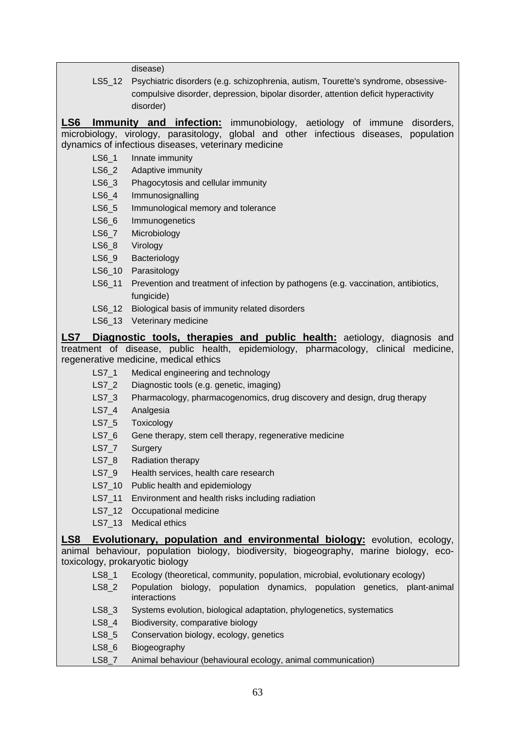disease)

LS5\_12 Psychiatric disorders (e.g. schizophrenia, autism, Tourette's syndrome, obsessive compulsive disorder, depression, bipolar disorder, attention deficit hyperactivity disorder)

**LS6 Immunity and infection:** immunobiology, aetiology of immune disorders, microbiology, virology, parasitology, global and other infectious diseases, population dynamics of infectious diseases, veterinary medicine

- LS6 1 Innate immunity
- LS6 2 Adaptive immunity
- LS6\_3 Phagocytosis and cellular immunity
- LS6 4 Immunosignalling
- LS6\_5 Immunological memory and tolerance
- LS6<sub>\_6</sub> Immunogenetics
- LS6\_7 Microbiology
- LS6\_8 Virology
- LS6 9 Bacteriology
- LS6 10 Parasitology
- LS6 11 Prevention and treatment of infection by pathogens (e.g. vaccination, antibiotics, fungicide)
- LS6 12 Biological basis of immunity related disorders
- LS6 13 Veterinary medicine

**LS7 Diagnostic tools, therapies and public health:** aetiology, diagnosis and treatment of disease, public health, epidemiology, pharmacology, clinical medicine, regenerative medicine, medical ethics

- LS7\_1 Medical engineering and technology
- LS7 2 Diagnostic tools (e.g. genetic, imaging)
- LS7 3 Pharmacology, pharmacogenomics, drug discovery and design, drug therapy
- LS7 4 Analgesia
- LS7<sub>5</sub> Toxicology
- LS7 6 Gene therapy, stem cell therapy, regenerative medicine
- LS7\_7 Surgery
- LS7 8 Radiation therapy
- LS7 9 Health services, health care research
- LS7 10 Public health and epidemiology
- LS7 11 Environment and health risks including radiation
- LS7\_12 Occupational medicine
- LS7 13 Medical ethics

**LS8 Evolutionary, population and environmental biology:** evolution, ecology, animal behaviour, population biology, biodiversity, biogeography, marine biology, ecotoxicology, prokaryotic biology

- LS8\_1 Ecology (theoretical, community, population, microbial, evolutionary ecology)
- LS8<sub>2</sub> Population biology, population dynamics, population genetics, plant-animal interactions
- LS8 3 Systems evolution, biological adaptation, phylogenetics, systematics
- LS8 4 Biodiversity, comparative biology
- LS8\_5 Conservation biology, ecology, genetics
- LS8 6 Biogeography
- LS8 7 Animal behaviour (behavioural ecology, animal communication)